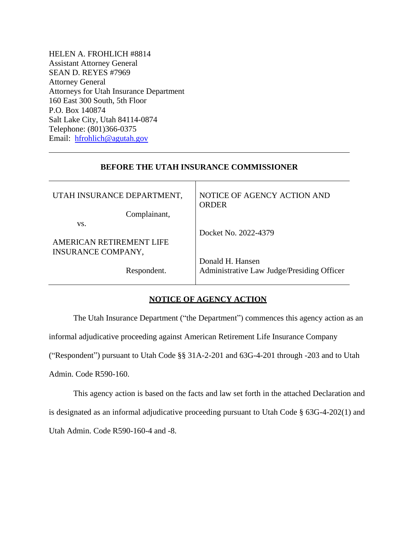HELEN A. FROHLICH #8814 Assistant Attorney General SEAN D. REYES #7969 Attorney General Attorneys for Utah Insurance Department 160 East 300 South, 5th Floor P.O. Box 140874 Salt Lake City, Utah 84114-0874 Telephone: (801)366-0375 Email: [hfrohlich@agutah.gov](mailto:hfrohlich@agutah.gov)

## **BEFORE THE UTAH INSURANCE COMMISSIONER**

| UTAH INSURANCE DEPARTMENT, | NOTICE OF AGENCY ACTION AND<br><b>ORDER</b>                    |
|----------------------------|----------------------------------------------------------------|
| Complainant,               |                                                                |
| VS.                        |                                                                |
|                            | Docket No. 2022-4379                                           |
| AMERICAN RETIREMENT LIFE   |                                                                |
| <b>INSURANCE COMPANY,</b>  |                                                                |
| Respondent.                | Donald H. Hansen<br>Administrative Law Judge/Presiding Officer |

## **NOTICE OF AGENCY ACTION**

The Utah Insurance Department ("the Department") commences this agency action as an

informal adjudicative proceeding against American Retirement Life Insurance Company

("Respondent") pursuant to Utah Code §§ 31A-2-201 and 63G-4-201 through -203 and to Utah

Admin. Code R590-160.

This agency action is based on the facts and law set forth in the attached Declaration and is designated as an informal adjudicative proceeding pursuant to Utah Code § 63G-4-202(1) and Utah Admin. Code R590-160-4 and -8.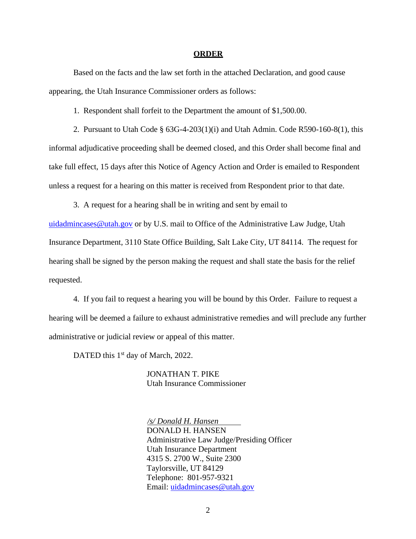#### **ORDER**

Based on the facts and the law set forth in the attached Declaration, and good cause appearing, the Utah Insurance Commissioner orders as follows:

1. Respondent shall forfeit to the Department the amount of \$1,500.00.

2. Pursuant to Utah Code  $\S$  63G-4-203(1)(i) and Utah Admin. Code R590-160-8(1), this informal adjudicative proceeding shall be deemed closed, and this Order shall become final and take full effect, 15 days after this Notice of Agency Action and Order is emailed to Respondent unless a request for a hearing on this matter is received from Respondent prior to that date.

3. A request for a hearing shall be in writing and sent by email to

[uidadmincases@utah.gov](mailto:uidadmincases@utah.gov) or by U.S. mail to Office of the Administrative Law Judge, Utah Insurance Department, 3110 State Office Building, Salt Lake City, UT 84114. The request for hearing shall be signed by the person making the request and shall state the basis for the relief requested.

4. If you fail to request a hearing you will be bound by this Order. Failure to request a hearing will be deemed a failure to exhaust administrative remedies and will preclude any further administrative or judicial review or appeal of this matter.

DATED this 1<sup>st</sup> day of March, 2022.

JONATHAN T. PIKE Utah Insurance Commissioner

 */s/ Donald H. Hansen* DONALD H. HANSEN Administrative Law Judge/Presiding Officer Utah Insurance Department 4315 S. 2700 W., Suite 2300 Taylorsville, UT 84129 Telephone: 801-957-9321 Email: [uidadmincases@utah.gov](mailto:uidadmincases@utah.gov)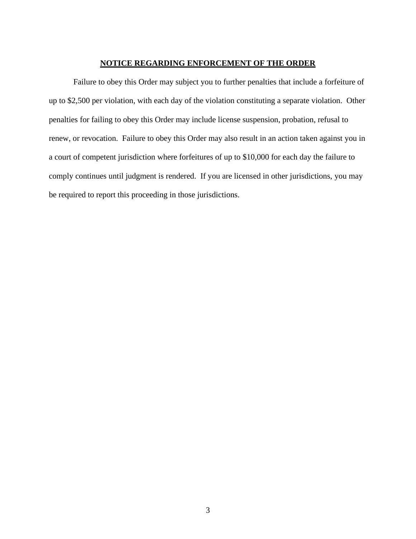## **NOTICE REGARDING ENFORCEMENT OF THE ORDER**

Failure to obey this Order may subject you to further penalties that include a forfeiture of up to \$2,500 per violation, with each day of the violation constituting a separate violation. Other penalties for failing to obey this Order may include license suspension, probation, refusal to renew, or revocation. Failure to obey this Order may also result in an action taken against you in a court of competent jurisdiction where forfeitures of up to \$10,000 for each day the failure to comply continues until judgment is rendered. If you are licensed in other jurisdictions, you may be required to report this proceeding in those jurisdictions.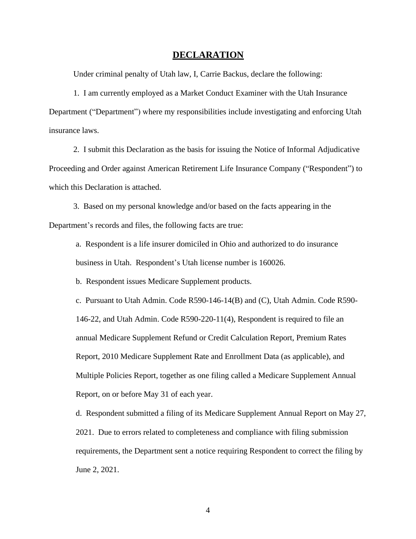#### **DECLARATION**

Under criminal penalty of Utah law, I, Carrie Backus, declare the following:

1. I am currently employed as a Market Conduct Examiner with the Utah Insurance Department ("Department") where my responsibilities include investigating and enforcing Utah insurance laws.

2. I submit this Declaration as the basis for issuing the Notice of Informal Adjudicative Proceeding and Order against American Retirement Life Insurance Company ("Respondent") to which this Declaration is attached.

3. Based on my personal knowledge and/or based on the facts appearing in the Department's records and files, the following facts are true:

a. Respondent is a life insurer domiciled in Ohio and authorized to do insurance business in Utah. Respondent's Utah license number is 160026.

b. Respondent issues Medicare Supplement products.

c. Pursuant to Utah Admin. Code R590-146-14(B) and (C), Utah Admin. Code R590- 146-22, and Utah Admin. Code R590-220-11(4), Respondent is required to file an annual Medicare Supplement Refund or Credit Calculation Report, Premium Rates Report, 2010 Medicare Supplement Rate and Enrollment Data (as applicable), and Multiple Policies Report, together as one filing called a Medicare Supplement Annual Report, on or before May 31 of each year.

d. Respondent submitted a filing of its Medicare Supplement Annual Report on May 27, 2021. Due to errors related to completeness and compliance with filing submission requirements, the Department sent a notice requiring Respondent to correct the filing by June 2, 2021.

4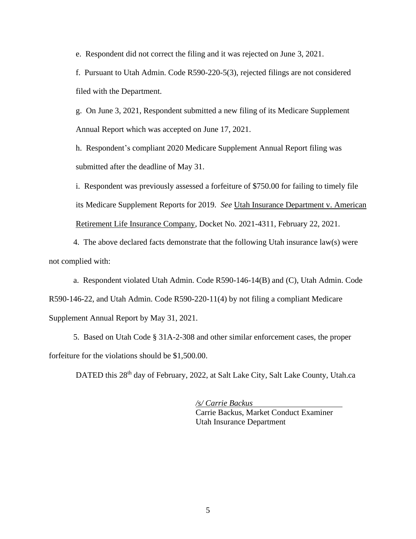e. Respondent did not correct the filing and it was rejected on June 3, 2021.

f. Pursuant to Utah Admin. Code R590-220-5(3), rejected filings are not considered filed with the Department.

g. On June 3, 2021, Respondent submitted a new filing of its Medicare Supplement Annual Report which was accepted on June 17, 2021.

h. Respondent's compliant 2020 Medicare Supplement Annual Report filing was submitted after the deadline of May 31.

i. Respondent was previously assessed a forfeiture of \$750.00 for failing to timely file its Medicare Supplement Reports for 2019. *See* Utah Insurance Department v. American Retirement Life Insurance Company, Docket No. 2021-4311, February 22, 2021.

4. The above declared facts demonstrate that the following Utah insurance law(s) were not complied with:

a. Respondent violated Utah Admin. Code R590-146-14(B) and (C), Utah Admin. Code R590-146-22, and Utah Admin. Code R590-220-11(4) by not filing a compliant Medicare Supplement Annual Report by May 31, 2021.

5. Based on Utah Code § 31A-2-308 and other similar enforcement cases, the proper forfeiture for the violations should be \$1,500.00.

DATED this 28<sup>th</sup> day of February, 2022, at Salt Lake City, Salt Lake County, Utah.ca

*/s/ Carrie Backus*  Carrie Backus, Market Conduct Examiner Utah Insurance Department